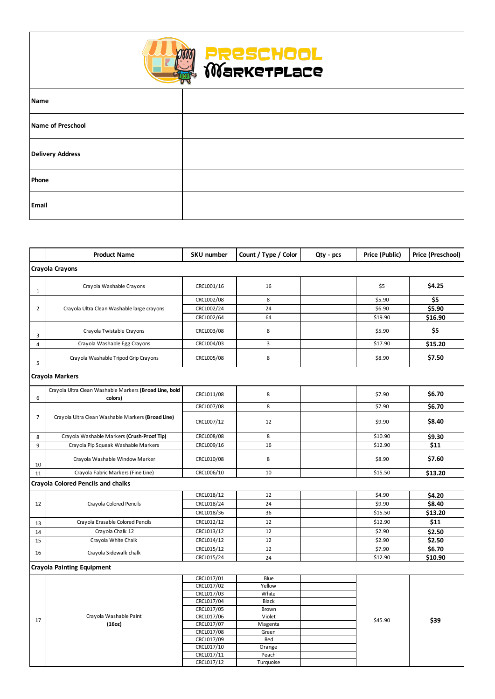|                                           | <b>Product Name</b>                                               | <b>SKU number</b>        | Count / Type / Color | Qty - pcs | Price (Public) | Price (Preschool) |  |  |
|-------------------------------------------|-------------------------------------------------------------------|--------------------------|----------------------|-----------|----------------|-------------------|--|--|
|                                           | <b>Crayola Crayons</b>                                            |                          |                      |           |                |                   |  |  |
| 1                                         | Crayola Washable Crayons                                          | CRCL001/16               | 16                   |           | \$5            | \$4.25            |  |  |
|                                           |                                                                   | CRCL002/08               | 8                    |           | \$5.90         | \$5               |  |  |
| 2                                         | Crayola Ultra Clean Washable large crayons                        | CRCL002/24               | 24                   |           | \$6.90         | \$5.90            |  |  |
|                                           |                                                                   | CRCL002/64               | 64                   |           | \$19.90        | \$16.90           |  |  |
| 3                                         | Crayola Twistable Crayons                                         | CRCL003/08               | 8                    |           | \$5.90         | \$5               |  |  |
| 4                                         | Crayola Washable Egg Crayons                                      | CRCL004/03               | 3                    |           | \$17.90        | \$15.20           |  |  |
| 5                                         | Crayola Washable Tripod Grip Crayons                              | CRCL005/08               | 8                    |           | \$8.90         | \$7.50            |  |  |
|                                           | <b>Crayola Markers</b>                                            |                          |                      |           |                |                   |  |  |
| 6                                         | Crayola Ultra Clean Washable Markers (Broad Line, bold<br>colors) | CRCL011/08               | 8                    |           | \$7.90         | \$6.70            |  |  |
|                                           |                                                                   | CRCL007/08               | 8                    |           | \$7.90         | \$6.70            |  |  |
| $\overline{7}$                            | Crayola Ultra Clean Washable Markers (Broad Line)                 | CRCL007/12               | 12                   |           | \$9.90         | \$8.40            |  |  |
| 8                                         | Crayola Washable Markers (Crush-Proof Tip)                        | CRCL008/08               | 8                    |           | \$10.90        | \$9.30            |  |  |
| 9                                         | Crayola Pip Squeak Washable Markers                               | CRCL009/16               | 16                   |           | \$12.90        | \$11              |  |  |
| 10                                        | Crayola Washable Window Marker                                    | CRCL010/08               | 8                    |           | \$8.90         | \$7.60            |  |  |
| 11                                        | Crayola Fabric Markers (Fine Line)                                | CRCL006/10               | 10                   |           | \$15.50        | \$13.20           |  |  |
| <b>Crayola Colored Pencils and chalks</b> |                                                                   |                          |                      |           |                |                   |  |  |
|                                           |                                                                   | CRCL018/12               | 12                   |           | \$4.90         | \$4.20            |  |  |
| 12                                        | Crayola Colored Pencils                                           | CRCL018/24               | 24                   |           | \$9.90         | \$8.40            |  |  |
|                                           |                                                                   | CRCL018/36               | 36                   |           | \$15.50        | \$13.20           |  |  |
| 13                                        | Crayola Erasable Colored Pencils                                  | CRCL012/12               | 12                   |           | \$12.90        | \$11              |  |  |
| 14                                        | Crayola Chalk 12                                                  | CRCL013/12               | 12                   |           | \$2.90         | \$2.50            |  |  |
| 15                                        | Crayola White Chalk                                               | CRCL014/12               | 12                   |           | \$2.90         | \$2.50            |  |  |
| 16                                        |                                                                   | CRCL015/12               | 12                   |           | \$7.90         | \$6.70            |  |  |
|                                           | Crayola Sidewalk chalk                                            | CRCL015/24               | 24                   |           | \$12.90        | \$10.90           |  |  |
|                                           | <b>Crayola Painting Equipment</b>                                 |                          |                      |           |                |                   |  |  |
|                                           |                                                                   | CRCL017/01               | Blue                 |           |                |                   |  |  |
|                                           |                                                                   | CRCL017/02               | Yellow               |           |                |                   |  |  |
| 17                                        |                                                                   | CRCL017/03               | White                |           |                |                   |  |  |
|                                           |                                                                   | CRCL017/04               | Black                |           |                |                   |  |  |
|                                           | Crayola Washable Paint<br>(160z)                                  | CRCL017/05<br>CRCL017/06 | Brown<br>Violet      |           | \$45.90        | \$39              |  |  |
|                                           |                                                                   | CRCL017/07               | Magenta              |           |                |                   |  |  |
|                                           |                                                                   | CRCL017/08               | Green                |           |                |                   |  |  |
|                                           |                                                                   | CRCL017/09               | Red                  |           |                |                   |  |  |
|                                           |                                                                   | CRCL017/10               | Orange               |           |                |                   |  |  |
|                                           |                                                                   | CRCL017/11               | Peach                |           |                |                   |  |  |
|                                           |                                                                   | CRCL017/12               | Turquoise            |           |                |                   |  |  |





| <b>CONTROLLER</b>       |  |
|-------------------------|--|
| Name                    |  |
| Name of Preschool       |  |
| <b>Delivery Address</b> |  |
| Phone                   |  |
| <b>Email</b>            |  |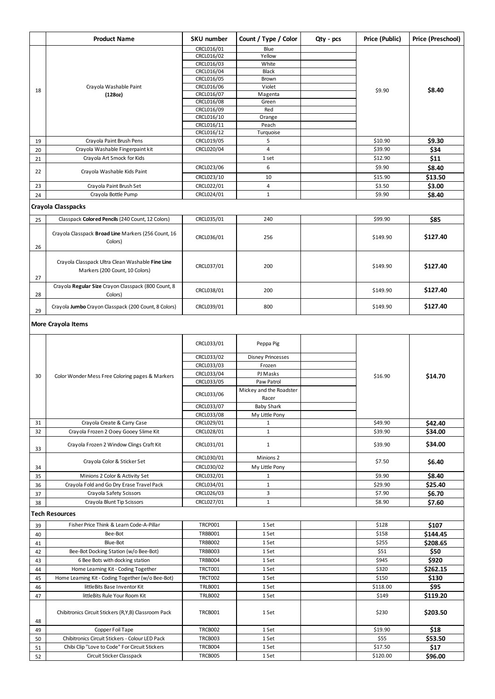|    | <b>Product Name</b>                                  | <b>SKU number</b>        | Count / Type / Color     | Qty - pcs | Price (Public) | <b>Price (Preschool)</b> |
|----|------------------------------------------------------|--------------------------|--------------------------|-----------|----------------|--------------------------|
|    |                                                      | CRCL016/01               | Blue                     |           |                |                          |
|    |                                                      | CRCL016/02               | Yellow                   |           |                |                          |
|    |                                                      | CRCL016/03               | White                    |           |                |                          |
|    |                                                      | CRCL016/04               | <b>Black</b>             |           |                |                          |
|    |                                                      | CRCL016/05               | <b>Brown</b>             |           |                |                          |
| 18 | Crayola Washable Paint                               | CRCL016/06<br>CRCL016/07 | Violet                   |           | \$9.90         | \$8.40                   |
|    | (128oz)                                              | CRCL016/08               | Magenta<br>Green         |           |                |                          |
|    |                                                      | CRCL016/09               | Red                      |           |                |                          |
|    |                                                      | CRCL016/10               | Orange                   |           |                |                          |
|    |                                                      | CRCL016/11               | Peach                    |           |                |                          |
|    |                                                      | CRCL016/12               | Turquoise                |           |                |                          |
| 19 | Crayola Paint Brush Pens                             | CRCL019/05               | 5                        |           | \$10.90        | \$9.30                   |
| 20 | Crayola Washable Fingerpaint kit                     | CRCL020/04               | $\overline{4}$           |           | \$39.90        | \$34                     |
| 21 | Crayola Art Smock for Kids                           |                          | 1 set                    |           | \$12.90        | \$11                     |
|    |                                                      | CRCL023/06               | 6                        |           | \$9.90         | \$8.40                   |
| 22 | Crayola Washable Kids Paint                          | CRCL023/10               | 10                       |           | \$15.90        |                          |
|    |                                                      |                          |                          |           |                | \$13.50                  |
| 23 | Crayola Paint Brush Set                              | CRCL022/01               | 4                        |           | \$3.50         | \$3.00                   |
| 24 | Crayola Bottle Pump                                  | CRCL024/01               | $\mathbf{1}$             |           | \$9.90         | \$8.40                   |
|    | <b>Crayola Classpacks</b>                            |                          |                          |           |                |                          |
|    |                                                      |                          |                          |           |                |                          |
| 25 | Classpack Colored Pencils (240 Count, 12 Colors)     | CRCL035/01               | 240                      |           | \$99.90        | \$85                     |
|    | Crayola Classpack Broad Line Markers (256 Count, 16  |                          |                          |           |                |                          |
|    | Colors)                                              | CRCL036/01               | 256                      |           | \$149.90       | \$127.40                 |
| 26 |                                                      |                          |                          |           |                |                          |
|    |                                                      |                          |                          |           |                |                          |
|    | Crayola Classpack Ultra Clean Washable Fine Line     | CRCL037/01               | 200                      |           | \$149.90       | \$127.40                 |
|    | Markers (200 Count, 10 Colors)                       |                          |                          |           |                |                          |
| 27 |                                                      |                          |                          |           |                |                          |
|    | Crayola Regular Size Crayon Classpack (800 Count, 8  | CRCL038/01               | 200                      |           | \$149.90       | \$127.40                 |
| 28 | Colors)                                              |                          |                          |           |                |                          |
|    | Crayola Jumbo Crayon Classpack (200 Count, 8 Colors) | CRCL039/01               | 800                      |           | \$149.90       | \$127.40                 |
| 29 |                                                      |                          |                          |           |                |                          |
|    | <b>More Crayola Items</b>                            |                          |                          |           |                |                          |
|    |                                                      |                          |                          |           |                |                          |
|    |                                                      |                          |                          |           |                |                          |
|    |                                                      | CRCL033/01               | Peppa Pig                |           |                |                          |
|    |                                                      | CRCL033/02               | <b>Disney Princesses</b> |           |                |                          |
|    |                                                      | CRCL033/03               | Frozen                   |           |                |                          |
|    |                                                      | CRCL033/04               | PJ Masks                 |           |                |                          |
| 30 | Color Wonder Mess Free Coloring pages & Markers      | CRCL033/05               | Paw Patrol               |           | \$16.90        | \$14.70                  |
|    |                                                      |                          | Mickey and the Roadster  |           |                |                          |
|    |                                                      | CRCL033/06               | Racer                    |           |                |                          |
|    |                                                      | CRCL033/07               | <b>Baby Shark</b>        |           |                |                          |
|    |                                                      | CRCL033/08               | My Little Pony           |           |                |                          |
| 31 | Crayola Create & Carry Case                          | CRCL029/01               | $\mathbf{1}$             |           | \$49.90        | \$42.40                  |
| 32 | Crayola Frozen 2 Ooey Gooey Slime Kit                | CRCL028/01               | $\mathbf{1}$             |           | \$39.90        | \$34.00                  |
|    |                                                      |                          |                          |           |                |                          |
| 33 | Crayola Frozen 2 Window Clings Craft Kit             | CRCL031/01               | $\mathbf{1}$             |           | \$39.90        | \$34.00                  |
|    |                                                      | CRCL030/01               | Minions <sub>2</sub>     |           |                |                          |
|    | Crayola Color & Sticker Set                          | CRCL030/02               | My Little Pony           |           | \$7.50         | \$6.40                   |
| 34 |                                                      |                          |                          |           |                |                          |
| 35 | Minions 2 Color & Activity Set                       | CRCL032/01               | $\mathbf{1}$             |           | \$9.90         | \$8.40                   |
| 36 | Crayola Fold and Go Dry Erase Travel Pack            | CRCL034/01               | $\mathbf{1}$             |           | \$29.90        | \$25.40                  |
| 37 | Crayola Safety Scissors                              | CRCL026/03               | 3                        |           | \$7.90         | \$6.70                   |
| 38 | Crayola Blunt Tip Scissors                           | CRCL027/01               | $\mathbf{1}$             |           | \$8.90         | \$7.60                   |
|    | <b>Tech Resources</b>                                |                          |                          |           |                |                          |
| 39 | Fisher Price Think & Learn Code-A-Pillar             | <b>TRCP001</b>           | 1 Set                    |           | \$128          | \$107                    |
|    | Bee-Bot                                              | <b>TRBB001</b>           | 1 Set                    |           | \$158          | \$144.45                 |
| 40 |                                                      |                          |                          |           |                |                          |
| 41 | Blue-Bot                                             | <b>TRBB002</b>           | 1 Set                    |           | \$255          | \$208.65                 |
| 42 | Bee-Bot Docking Station (w/o Bee-Bot)                | <b>TRBB003</b>           | 1 Set                    |           | \$51           | \$50                     |
| 43 | 6 Bee Bots with docking station                      | <b>TRBB004</b>           | 1 Set                    |           | \$945          | \$920                    |
| 44 | Home Learning Kit - Coding Together                  | <b>TRCT001</b>           | 1 Set                    |           | \$320          | \$262.15                 |
| 45 | Home Learning Kit - Coding Together (w/o Bee-Bot)    | <b>TRCT002</b>           | 1 Set                    |           | \$150          | \$130                    |
| 46 | littleBits Base Inventor Kit                         | <b>TRLB001</b>           | 1 Set                    |           | \$118.00       | \$95                     |
| 47 | littleBits Rule Your Room Kit                        | <b>TRLB002</b>           | 1 Set                    |           | \$149          | \$119.20                 |
|    |                                                      |                          |                          |           |                |                          |
|    | Chibitronics Circuit Stickers (R,Y,B) Classroom Pack | <b>TRCB001</b>           | 1 Set                    |           | \$230          | \$203.50                 |
| 48 |                                                      |                          |                          |           |                |                          |
| 49 | Copper Foil Tape                                     | <b>TRCB002</b>           | 1 Set                    |           | \$19.90        | \$18                     |
| 50 | Chibitronics Circuit Stickers - Colour LED Pack      | TRCB003                  | 1 Set                    |           | \$55           | \$53.50                  |
| 51 | Chibi Clip "Love to Code" For Circuit Stickers       | TRCB004                  | 1 Set                    |           | \$17.50        | \$17                     |
| 52 | Circuit Sticker Classpack                            | TRCB005                  | 1 Set                    |           | \$120.00       | \$96.00                  |